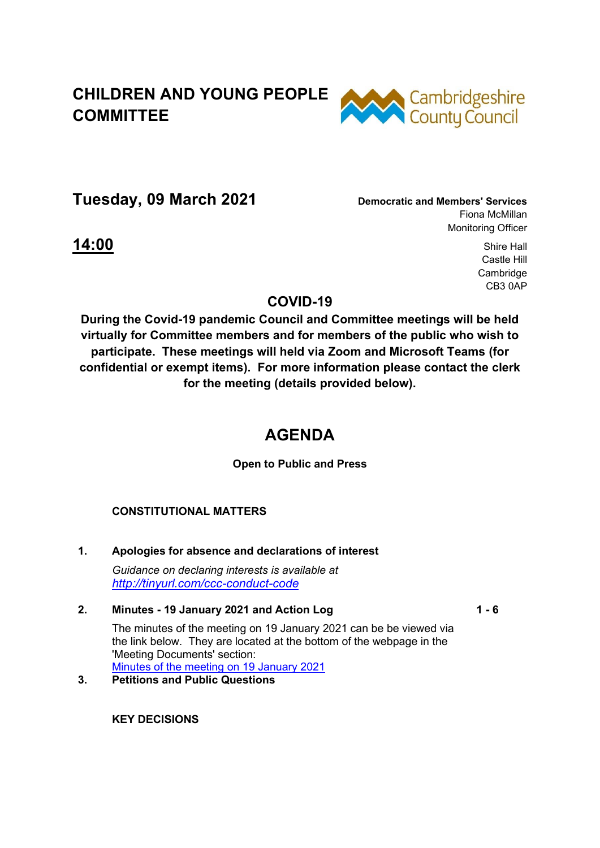# **CHILDREN AND YOUNG PEOPLE COMMITTEE**



**Tuesday, 09 March 2021 Democratic and Members' Services**

Fiona McMillan Monitoring Officer

**14:00** Shire Hall Castle Hill Cambridge CB3 0AP

### **COVID-19**

**During the Covid-19 pandemic Council and Committee meetings will be held virtually for Committee members and for members of the public who wish to participate. These meetings will held via Zoom and Microsoft Teams (for confidential or exempt items). For more information please contact the clerk for the meeting (details provided below).** 

## **AGENDA**

**Open to Public and Press** 

### **CONSTITUTIONAL MATTERS**

**1. Apologies for absence and declarations of interest**  *Guidance on declaring interests is available at <http://tinyurl.com/ccc-conduct-code>*

#### **2. Minutes - 19 January 2021 and Action Log**

**1 - 6**

The minutes of the meeting on 19 January 2021 can be be viewed via the link below. They are located at the bottom of the webpage in the 'Meeting Documents' section: [Minutes of the meeting on 19 January 2021](https://cambridgeshire.cmis.uk.com/ccc_live/Meetings/tabid/70/ctl/ViewMeetingPublic/mid/397/Meeting/1375/Committee/4/SelectedTab/Documents/Default.aspx)

### **3. Petitions and Public Questions**

**KEY DECISIONS**